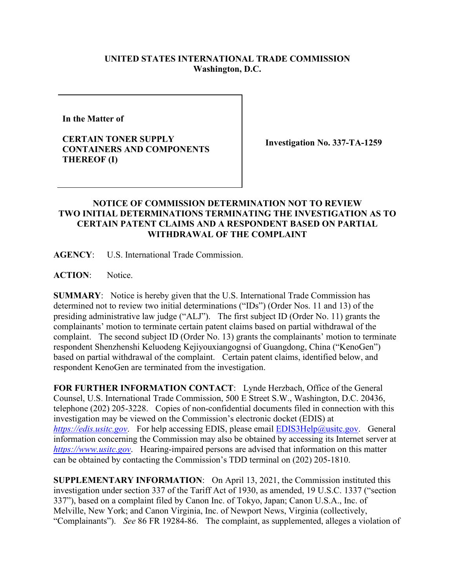## **UNITED STATES INTERNATIONAL TRADE COMMISSION Washington, D.C.**

**In the Matter of** 

**CERTAIN TONER SUPPLY CONTAINERS AND COMPONENTS THEREOF (I)**

**Investigation No. 337-TA-1259**

## **NOTICE OF COMMISSION DETERMINATION NOT TO REVIEW TWO INITIAL DETERMINATIONS TERMINATING THE INVESTIGATION AS TO CERTAIN PATENT CLAIMS AND A RESPONDENT BASED ON PARTIAL WITHDRAWAL OF THE COMPLAINT**

**AGENCY**: U.S. International Trade Commission.

ACTION: Notice.

**SUMMARY**: Notice is hereby given that the U.S. International Trade Commission has determined not to review two initial determinations ("IDs") (Order Nos. 11 and 13) of the presiding administrative law judge ("ALJ"). The first subject ID (Order No. 11) grants the complainants' motion to terminate certain patent claims based on partial withdrawal of the complaint. The second subject ID (Order No. 13) grants the complainants' motion to terminate respondent Shenzhenshi Keluodeng Kejiyouxiangognsi of Guangdong, China ("KenoGen") based on partial withdrawal of the complaint. Certain patent claims, identified below, and respondent KenoGen are terminated from the investigation.

**FOR FURTHER INFORMATION CONTACT**: Lynde Herzbach, Office of the General Counsel, U.S. International Trade Commission, 500 E Street S.W., Washington, D.C. 20436, telephone (202) 205-3228. Copies of non-confidential documents filed in connection with this investigation may be viewed on the Commission's electronic docket (EDIS) at *[https://edis.usitc.gov](https://edis.usitc.gov/).* For help accessing EDIS, please email [EDIS3Help@usitc.gov.](mailto:EDIS3Help@usitc.gov) General information concerning the Commission may also be obtained by accessing its Internet server at *[https://www.usitc.gov](https://www.usitc.gov/)*. Hearing-impaired persons are advised that information on this matter can be obtained by contacting the Commission's TDD terminal on (202) 205-1810.

**SUPPLEMENTARY INFORMATION**: On April 13, 2021, the Commission instituted this investigation under section 337 of the Tariff Act of 1930, as amended, 19 U.S.C. 1337 ("section 337"), based on a complaint filed by Canon Inc. of Tokyo, Japan; Canon U.S.A., Inc. of Melville, New York; and Canon Virginia, Inc. of Newport News, Virginia (collectively, "Complainants"). *See* 86 FR 19284-86. The complaint, as supplemented, alleges a violation of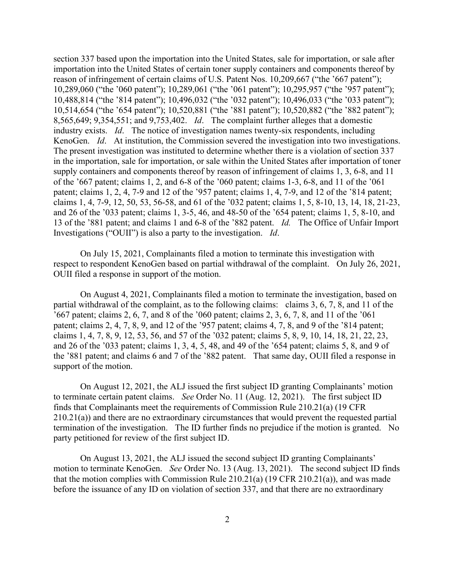section 337 based upon the importation into the United States, sale for importation, or sale after importation into the United States of certain toner supply containers and components thereof by reason of infringement of certain claims of U.S. Patent Nos. 10,209,667 ("the '667 patent"); 10,289,060 ("the '060 patent"); 10,289,061 ("the '061 patent"); 10,295,957 ("the '957 patent"); 10,488,814 ("the '814 patent"); 10,496,032 ("the '032 patent"); 10,496,033 ("the '033 patent"); 10,514,654 ("the '654 patent"); 10,520,881 ("the '881 patent"); 10,520,882 ("the '882 patent"); 8,565,649; 9,354,551; and 9,753,402. *Id*. The complaint further alleges that a domestic industry exists. *Id*. The notice of investigation names twenty-six respondents, including KenoGen. *Id*. At institution, the Commission severed the investigation into two investigations. The present investigation was instituted to determine whether there is a violation of section 337 in the importation, sale for importation, or sale within the United States after importation of toner supply containers and components thereof by reason of infringement of claims 1, 3, 6-8, and 11 of the '667 patent; claims 1, 2, and 6-8 of the '060 patent; claims 1-3, 6-8, and 11 of the '061 patent; claims 1, 2, 4, 7-9 and 12 of the '957 patent; claims 1, 4, 7-9, and 12 of the '814 patent; claims 1, 4, 7-9, 12, 50, 53, 56-58, and 61 of the '032 patent; claims 1, 5, 8-10, 13, 14, 18, 21-23, and 26 of the '033 patent; claims 1, 3-5, 46, and 48-50 of the '654 patent; claims 1, 5, 8-10, and 13 of the '881 patent; and claims 1 and 6-8 of the '882 patent. *Id.* The Office of Unfair Import Investigations ("OUII") is also a party to the investigation. *Id*.

On July 15, 2021, Complainants filed a motion to terminate this investigation with respect to respondent KenoGen based on partial withdrawal of the complaint. On July 26, 2021, OUII filed a response in support of the motion.

On August 4, 2021, Complainants filed a motion to terminate the investigation, based on partial withdrawal of the complaint, as to the following claims: claims 3, 6, 7, 8, and 11 of the '667 patent; claims 2, 6, 7, and 8 of the '060 patent; claims 2, 3, 6, 7, 8, and 11 of the '061 patent; claims 2, 4, 7, 8, 9, and 12 of the '957 patent; claims 4, 7, 8, and 9 of the '814 patent; claims 1, 4, 7, 8, 9, 12, 53, 56, and 57 of the '032 patent; claims 5, 8, 9, 10, 14, 18, 21, 22, 23, and 26 of the '033 patent; claims 1, 3, 4, 5, 48, and 49 of the '654 patent; claims 5, 8, and 9 of the '881 patent; and claims 6 and 7 of the '882 patent. That same day, OUII filed a response in support of the motion.

On August 12, 2021, the ALJ issued the first subject ID granting Complainants' motion to terminate certain patent claims. *See* Order No. 11 (Aug. 12, 2021). The first subject ID finds that Complainants meet the requirements of Commission Rule 210.21(a) (19 CFR 210.21(a)) and there are no extraordinary circumstances that would prevent the requested partial termination of the investigation. The ID further finds no prejudice if the motion is granted. No party petitioned for review of the first subject ID.

On August 13, 2021, the ALJ issued the second subject ID granting Complainants' motion to terminate KenoGen. *See* Order No. 13 (Aug. 13, 2021). The second subject ID finds that the motion complies with Commission Rule 210.21(a) (19 CFR 210.21(a)), and was made before the issuance of any ID on violation of section 337, and that there are no extraordinary